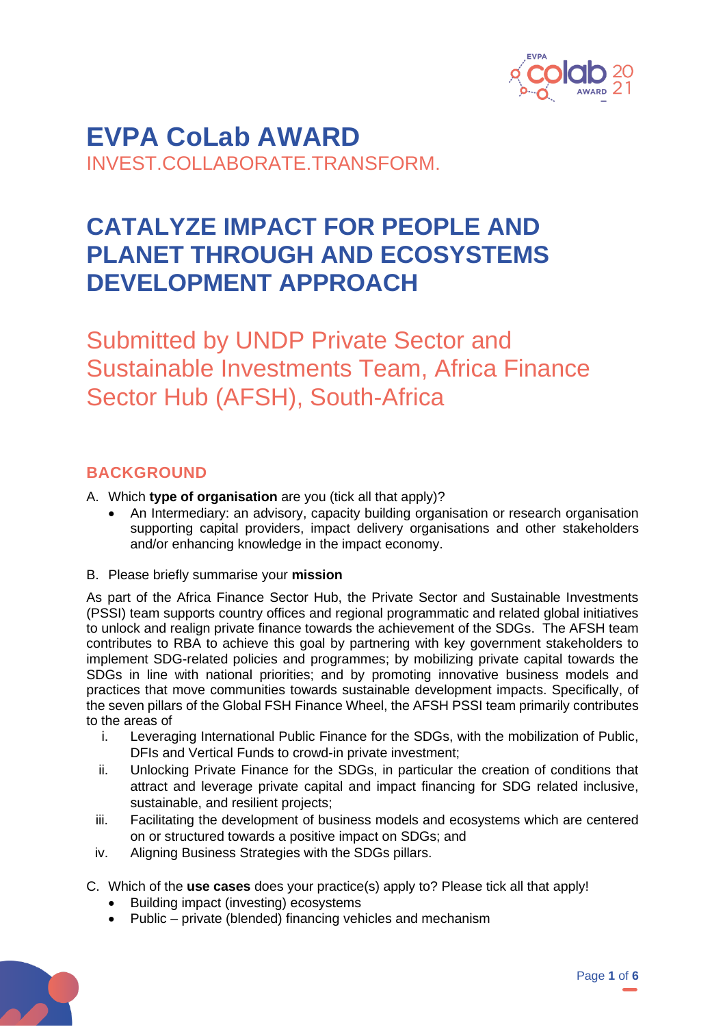

**EVPA CoLab AWARD** INVEST.COLLABORATE.TRANSFORM.

# **CATALYZE IMPACT FOR PEOPLE AND PLANET THROUGH AND ECOSYSTEMS DEVELOPMENT APPROACH**

Submitted by UNDP Private Sector and Sustainable Investments Team, Africa Finance Sector Hub (AFSH), South-Africa

# **BACKGROUND**

- A. Which **type of organisation** are you (tick all that apply)?
	- An Intermediary: an advisory, capacity building organisation or research organisation supporting capital providers, impact delivery organisations and other stakeholders and/or enhancing knowledge in the impact economy.
- B. Please briefly summarise your **mission**

As part of the Africa Finance Sector Hub, the Private Sector and Sustainable Investments (PSSI) team supports country offices and regional programmatic and related global initiatives to unlock and realign private finance towards the achievement of the SDGs. The AFSH team contributes to RBA to achieve this goal by partnering with key government stakeholders to implement SDG-related policies and programmes; by mobilizing private capital towards the SDGs in line with national priorities; and by promoting innovative business models and practices that move communities towards sustainable development impacts. Specifically, of the seven pillars of the Global FSH Finance Wheel, the AFSH PSSI team primarily contributes to the areas of

- i. Leveraging International Public Finance for the SDGs, with the mobilization of Public, DFIs and Vertical Funds to crowd-in private investment;
- ii. Unlocking Private Finance for the SDGs, in particular the creation of conditions that attract and leverage private capital and impact financing for SDG related inclusive, sustainable, and resilient projects;
- iii. Facilitating the development of business models and ecosystems which are centered on or structured towards a positive impact on SDGs; and
- iv. Aligning Business Strategies with the SDGs pillars.
- C. Which of the **use cases** does your practice(s) apply to? Please tick all that apply!
	- Building impact (investing) ecosystems
	- Public private (blended) financing vehicles and mechanism

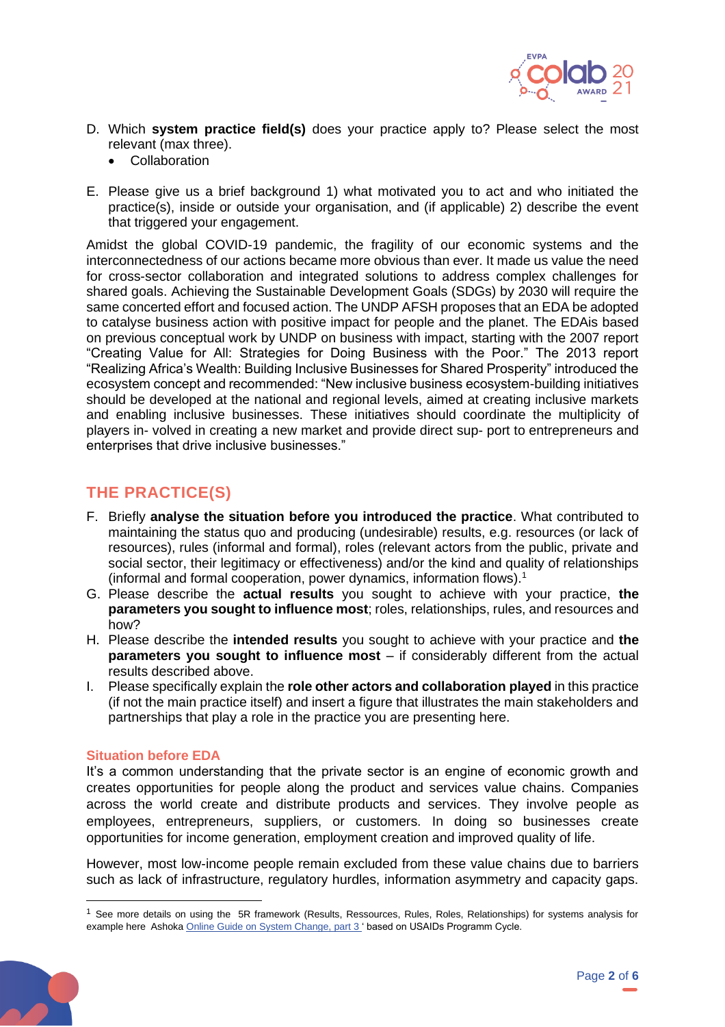

- D. Which **system practice field(s)** does your practice apply to? Please select the most relevant (max three).
	- Collaboration
- E. Please give us a brief background 1) what motivated you to act and who initiated the practice(s), inside or outside your organisation, and (if applicable) 2) describe the event that triggered your engagement.

Amidst the global COVID-19 pandemic, the fragility of our economic systems and the interconnectedness of our actions became more obvious than ever. It made us value the need for cross-sector collaboration and integrated solutions to address complex challenges for shared goals. Achieving the Sustainable Development Goals (SDGs) by 2030 will require the same concerted effort and focused action. The UNDP AFSH proposes that an EDA be adopted to catalyse business action with positive impact for people and the planet. The EDAis based on previous conceptual work by UNDP on business with impact, starting with the 2007 report "Creating Value for All: Strategies for Doing Business with the Poor." The 2013 report "Realizing Africa's Wealth: Building Inclusive Businesses for Shared Prosperity" introduced the ecosystem concept and recommended: "New inclusive business ecosystem-building initiatives should be developed at the national and regional levels, aimed at creating inclusive markets and enabling inclusive businesses. These initiatives should coordinate the multiplicity of players in- volved in creating a new market and provide direct sup- port to entrepreneurs and enterprises that drive inclusive businesses."

# **THE PRACTICE(S)**

- F. Briefly **analyse the situation before you introduced the practice**. What contributed to maintaining the status quo and producing (undesirable) results, e.g. resources (or lack of resources), rules (informal and formal), roles (relevant actors from the public, private and social sector, their legitimacy or effectiveness) and/or the kind and quality of relationships (informal and formal cooperation, power dynamics, information flows).<sup>1</sup>
- G. Please describe the **actual results** you sought to achieve with your practice, **the parameters you sought to influence most**; roles, relationships, rules, and resources and how?
- H. Please describe the **intended results** you sought to achieve with your practice and **the parameters you sought to influence most** – if considerably different from the actual results described above.
- I. Please specifically explain the **role other actors and collaboration played** in this practice (if not the main practice itself) and insert a figure that illustrates the main stakeholders and partnerships that play a role in the practice you are presenting here.

## **Situation before EDA**

It's a common understanding that the private sector is an engine of economic growth and creates opportunities for people along the product and services value chains. Companies across the world create and distribute products and services. They involve people as employees, entrepreneurs, suppliers, or customers. In doing so businesses create opportunities for income generation, employment creation and improved quality of life.

However, most low-income people remain excluded from these value chains due to barriers such as lack of infrastructure, regulatory hurdles, information asymmetry and capacity gaps.

 $<sup>1</sup>$  See more details on using the 5R framework (Results, Ressources, Rules, Roles, Relationships) for systems analysis for</sup> example here Ashok[a Online Guide on System Change, part](https://www.ashoka.org/en/story/animated-guide-changing-systems) 3' based on USAIDs Programm Cycle.

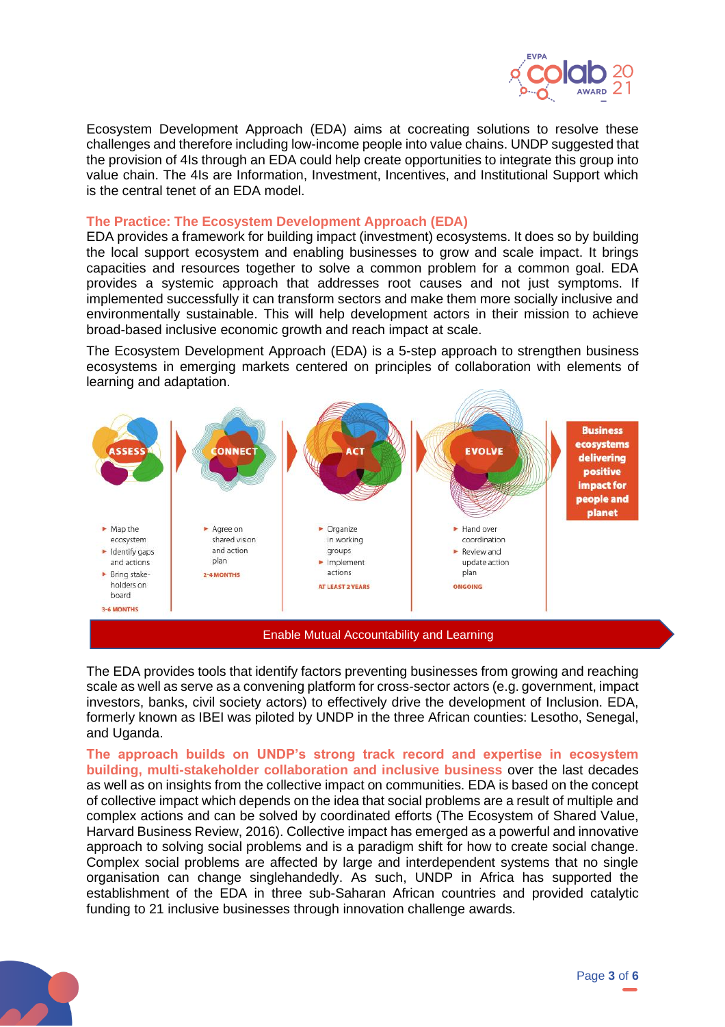

Ecosystem Development Approach (EDA) aims at cocreating solutions to resolve these challenges and therefore including low-income people into value chains. UNDP suggested that the provision of 4Is through an EDA could help create opportunities to integrate this group into value chain. The 4Is are Information, Investment, Incentives, and Institutional Support which is the central tenet of an EDA model.

#### **The Practice: The Ecosystem Development Approach (EDA)**

EDA provides a framework for building impact (investment) ecosystems. It does so by building the local support ecosystem and enabling businesses to grow and scale impact. It brings capacities and resources together to solve a common problem for a common goal. EDA provides a systemic approach that addresses root causes and not just symptoms. If implemented successfully it can transform sectors and make them more socially inclusive and environmentally sustainable. This will help development actors in their mission to achieve broad-based inclusive economic growth and reach impact at scale.

The Ecosystem Development Approach (EDA) is a 5-step approach to strengthen business ecosystems in emerging markets centered on principles of collaboration with elements of learning and adaptation.



The EDA provides tools that identify factors preventing businesses from growing and reaching scale as well as serve as a convening platform for cross-sector actors (e.g. government, impact investors, banks, civil society actors) to effectively drive the development of Inclusion. EDA, formerly known as IBEI was piloted by UNDP in the three African counties: Lesotho, Senegal, and Uganda.

**The approach builds on UNDP's strong track record and expertise in ecosystem building, multi-stakeholder collaboration and inclusive business** over the last decades as well as on insights from the collective impact on communities. EDA is based on the concept of collective impact which depends on the idea that social problems are a result of multiple and complex actions and can be solved by coordinated efforts (The Ecosystem of Shared Value, Harvard Business Review, 2016). Collective impact has emerged as a powerful and innovative approach to solving social problems and is a paradigm shift for how to create social change. Complex social problems are affected by large and interdependent systems that no single organisation can change singlehandedly. As such, UNDP in Africa has supported the establishment of the EDA in three sub-Saharan African countries and provided catalytic funding to 21 inclusive businesses through innovation challenge awards.

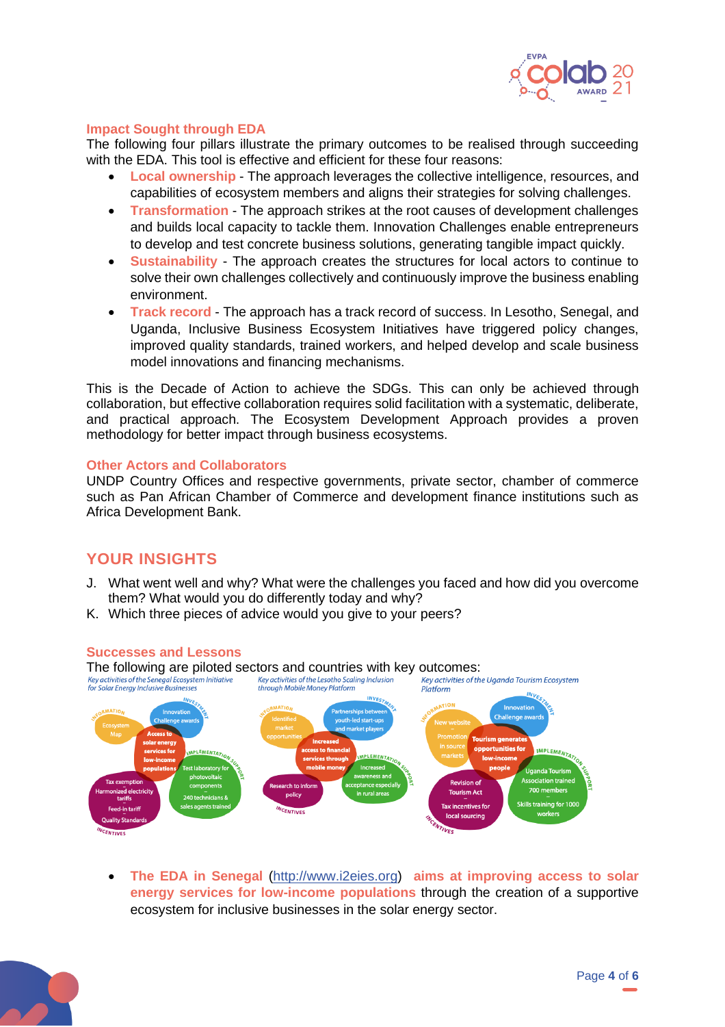

## **Impact Sought through EDA**

The following four pillars illustrate the primary outcomes to be realised through succeeding with the EDA. This tool is effective and efficient for these four reasons:

- **Local ownership** The approach leverages the collective intelligence, resources, and capabilities of ecosystem members and aligns their strategies for solving challenges.
- **Transformation** The approach strikes at the root causes of development challenges and builds local capacity to tackle them. Innovation Challenges enable entrepreneurs to develop and test concrete business solutions, generating tangible impact quickly.
- **Sustainability** The approach creates the structures for local actors to continue to solve their own challenges collectively and continuously improve the business enabling environment.
- **Track record** The approach has a track record of success. In Lesotho, Senegal, and Uganda, Inclusive Business Ecosystem Initiatives have triggered policy changes, improved quality standards, trained workers, and helped develop and scale business model innovations and financing mechanisms.

This is the Decade of Action to achieve the SDGs. This can only be achieved through collaboration, but effective collaboration requires solid facilitation with a systematic, deliberate, and practical approach. The Ecosystem Development Approach provides a proven methodology for better impact through business ecosystems.

#### **Other Actors and Collaborators**

UNDP Country Offices and respective governments, private sector, chamber of commerce such as Pan African Chamber of Commerce and development finance institutions such as Africa Development Bank.

## **YOUR INSIGHTS**

- J. What went well and why? What were the challenges you faced and how did you overcome them? What would you do differently today and why?
- K. Which three pieces of advice would you give to your peers?

#### **Successes and Lessons**



• **The EDA in Senegal** [\(http://www.i2eies.org\)](http://www.i2eies.org/) **aims at improving access to solar energy services for low-income populations** through the creation of a supportive ecosystem for inclusive businesses in the solar energy sector.

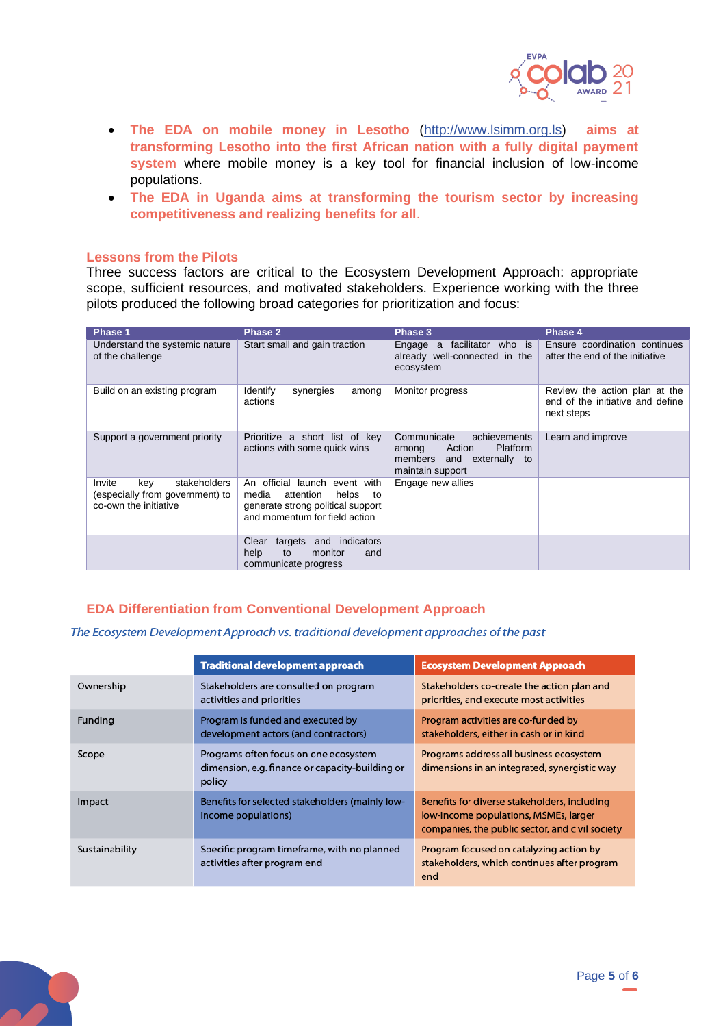

- **The EDA on mobile money in Lesotho** [\(http://www.lsimm.org.ls\)](http://www.lsimm.org.ls/) **aims at transforming Lesotho into the first African nation with a fully digital payment system** where mobile money is a key tool for financial inclusion of low-income populations.
- **The EDA in Uganda aims at transforming the tourism sector by increasing competitiveness and realizing benefits for all**.

#### **Lessons from the Pilots**

Three success factors are critical to the Ecosystem Development Approach: appropriate scope, sufficient resources, and motivated stakeholders. Experience working with the three pilots produced the following broad categories for prioritization and focus:

| Phase 1                                                                                   | Phase 2                                                                                                                                     | Phase 3                                                                                                               | Phase 4                                                                         |
|-------------------------------------------------------------------------------------------|---------------------------------------------------------------------------------------------------------------------------------------------|-----------------------------------------------------------------------------------------------------------------------|---------------------------------------------------------------------------------|
| Understand the systemic nature<br>of the challenge                                        | Start small and gain traction                                                                                                               | facilitator<br>who is<br>Engage<br>a<br>already well-connected in the<br>ecosystem                                    | Ensure coordination continues<br>after the end of the initiative                |
| Build on an existing program                                                              | <b>Identify</b><br>synergies<br>among<br>actions                                                                                            | Monitor progress                                                                                                      | Review the action plan at the<br>end of the initiative and define<br>next steps |
| Support a government priority                                                             | Prioritize a short list of key<br>actions with some quick wins                                                                              | Communicate<br>achievements<br><b>Platform</b><br>Action<br>among<br>and externally to<br>members<br>maintain support | Learn and improve                                                               |
| stakeholders<br>Invite<br>kev<br>(especially from government) to<br>co-own the initiative | An official launch<br>event with<br>media<br>attention<br>helps<br>to<br>generate strong political support<br>and momentum for field action | Engage new allies                                                                                                     |                                                                                 |
|                                                                                           | indicators<br>Clear<br>targets<br>and<br>help<br>to<br>monitor<br>and<br>communicate progress                                               |                                                                                                                       |                                                                                 |

## **EDA Differentiation from Conventional Development Approach**

#### The Ecosystem Development Approach vs. traditional development approaches of the past

|                | <b>Traditional development approach</b>                                                            | <b>Ecosystem Development Approach</b>                                                                                                    |
|----------------|----------------------------------------------------------------------------------------------------|------------------------------------------------------------------------------------------------------------------------------------------|
| Ownership      | Stakeholders are consulted on program<br>activities and priorities                                 | Stakeholders co-create the action plan and<br>priorities, and execute most activities                                                    |
| Funding        | Program is funded and executed by<br>development actors (and contractors)                          | Program activities are co-funded by<br>stakeholders, either in cash or in kind                                                           |
| Scope          | Programs often focus on one ecosystem<br>dimension, e.g. finance or capacity-building or<br>policy | Programs address all business ecosystem<br>dimensions in an integrated, synergistic way                                                  |
| Impact         | Benefits for selected stakeholders (mainly low-<br>income populations)                             | Benefits for diverse stakeholders, including<br>low-income populations, MSMEs, larger<br>companies, the public sector, and civil society |
| Sustainability | Specific program timeframe, with no planned<br>activities after program end                        | Program focused on catalyzing action by<br>stakeholders, which continues after program<br>end                                            |